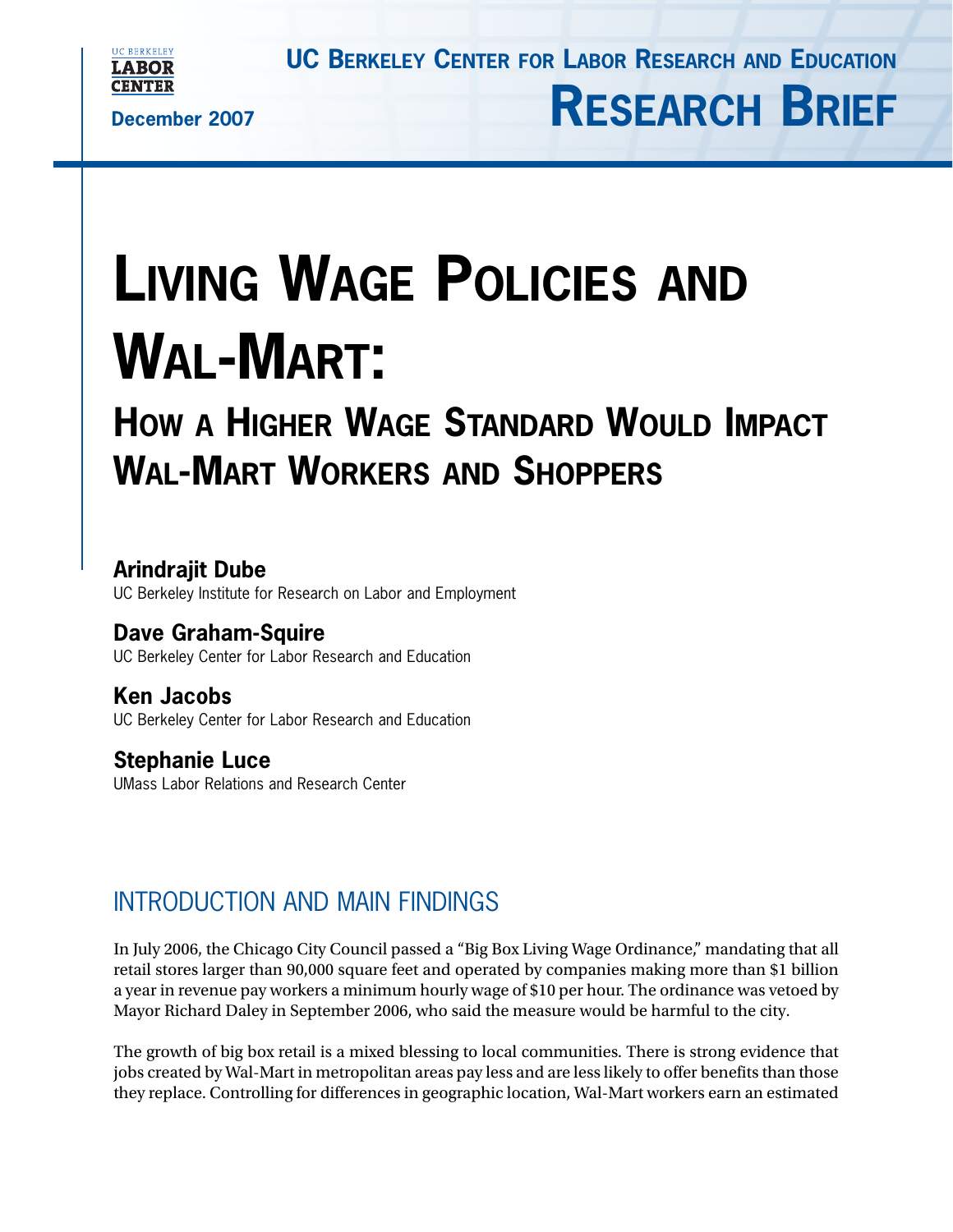

**RESEARCH BRIEF**



**December 2007**

# **LIVING WAGE POLICIES AND WAL-MART:**

## **HOW A HIGHER WAGE STANDARD WOULD IMPACT WAL-MART WORKERS AND SHOPPERS**

## **Arindrajit Dube**

UC Berkeley Institute for Research on Labor and Employment

## **Dave Graham-Squire**

UC Berkeley Center for Labor Research and Education

## **Ken Jacobs**

UC Berkeley Center for Labor Research and Education

## **Stephanie Luce**

UMass Labor Relations and Research Center

## INTRODUCTION AND MAIN FINDINGS

In July 2006, the Chicago City Council passed a "Big Box Living Wage Ordinance," mandating that all retail stores larger than 90,000 square feet and operated by companies making more than \$1 billion a year in revenue pay workers a minimum hourly wage of \$10 per hour. The ordinance was vetoed by Mayor Richard Daley in September 2006, who said the measure would be harmful to the city.

The growth of big box retail is a mixed blessing to local communities. There is strong evidence that jobs created by Wal-Mart in metropolitan areas pay less and are less likely to offer benefits than those they replace. Controlling for differences in geographic location, Wal-Mart workers earn an estimated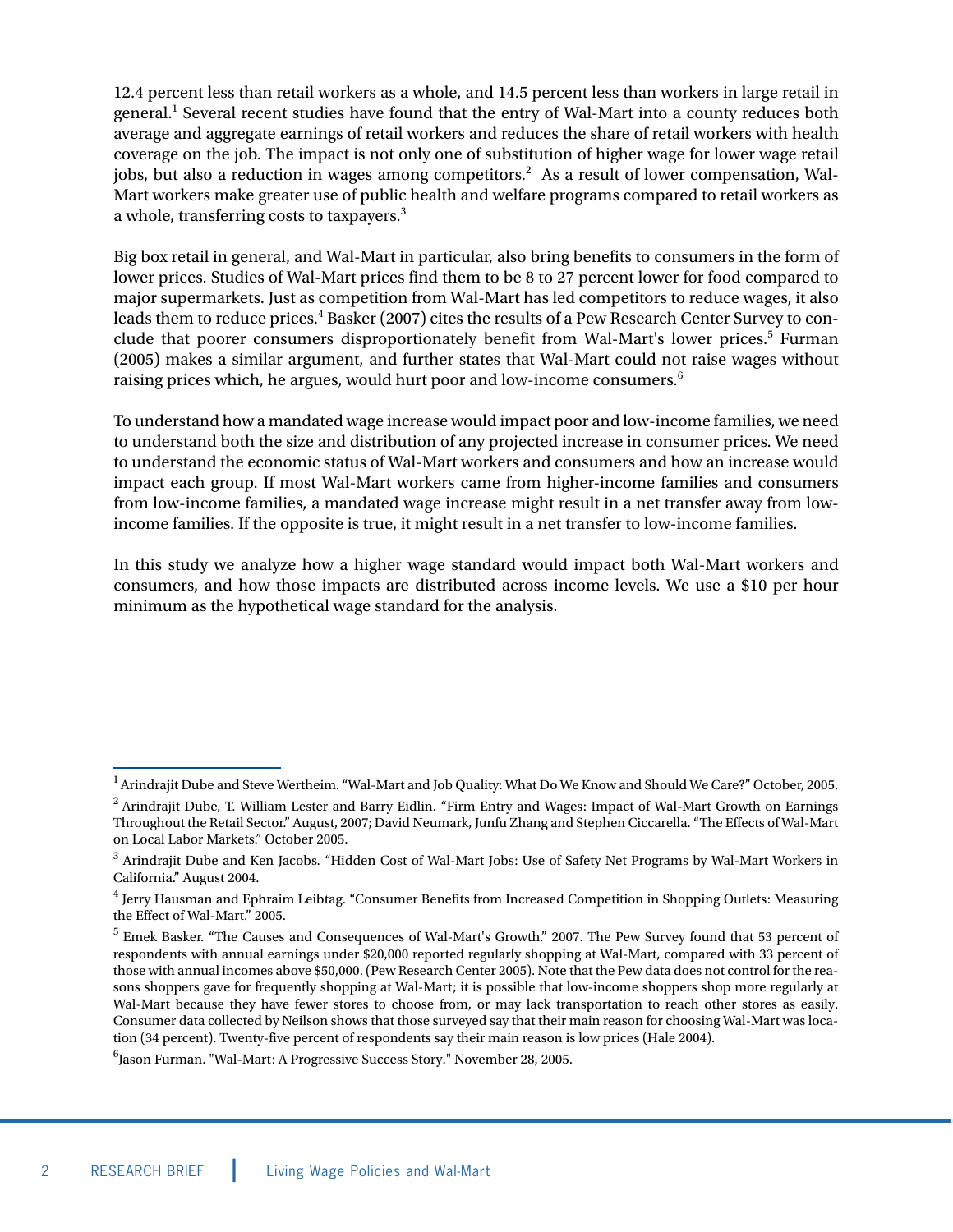12.4 percent less than retail workers as a whole, and 14.5 percent less than workers in large retail in general.1 Several recent studies have found that the entry of Wal-Mart into a county reduces both average and aggregate earnings of retail workers and reduces the share of retail workers with health coverage on the job. The impact is not only one of substitution of higher wage for lower wage retail jobs, but also a reduction in wages among competitors.<sup>2</sup> As a result of lower compensation, Wal-Mart workers make greater use of public health and welfare programs compared to retail workers as a whole, transferring costs to taxpayers.3

Big box retail in general, and Wal-Mart in particular, also bring benefits to consumers in the form of lower prices. Studies of Wal-Mart prices find them to be 8 to 27 percent lower for food compared to major supermarkets. Just as competition from Wal-Mart has led competitors to reduce wages, it also leads them to reduce prices.4 Basker (2007) cites the results of a Pew Research Center Survey to conclude that poorer consumers disproportionately benefit from Wal-Mart's lower prices.<sup>5</sup> Furman (2005) makes a similar argument, and further states that Wal-Mart could not raise wages without raising prices which, he argues, would hurt poor and low-income consumers.<sup>6</sup>

To understand how a mandated wage increase would impact poor and low-income families, we need to understand both the size and distribution of any projected increase in consumer prices. We need to understand the economic status of Wal-Mart workers and consumers and how an increase would impact each group. If most Wal-Mart workers came from higher-income families and consumers from low-income families, a mandated wage increase might result in a net transfer away from lowincome families. If the opposite is true, it might result in a net transfer to low-income families.

In this study we analyze how a higher wage standard would impact both Wal-Mart workers and consumers, and how those impacts are distributed across income levels. We use a \$10 per hour minimum as the hypothetical wage standard for the analysis.

 $1$  Arindrajit Dube and Steve Wertheim. "Wal-Mart and Job Quality: What Do We Know and Should We Care?" October, 2005.

<sup>&</sup>lt;sup>2</sup> Arindrajit Dube, T. William Lester and Barry Eidlin. "Firm Entry and Wages: Impact of Wal-Mart Growth on Earnings Throughout the Retail Sector." August, 2007; David Neumark, Junfu Zhang and Stephen Ciccarella. "The Effects of Wal-Mart on Local Labor Markets." October 2005.

<sup>&</sup>lt;sup>3</sup> Arindrajit Dube and Ken Jacobs. "Hidden Cost of Wal-Mart Jobs: Use of Safety Net Programs by Wal-Mart Workers in California." August 2004.

<sup>4</sup> Jerry Hausman and Ephraim Leibtag. "Consumer Benefits from Increased Competition in Shopping Outlets: Measuring the Effect of Wal-Mart." 2005.

<sup>5</sup> Emek Basker. "The Causes and Consequences of Wal-Mart's Growth." 2007. The Pew Survey found that 53 percent of respondents with annual earnings under \$20,000 reported regularly shopping at Wal-Mart, compared with 33 percent of those with annual incomes above \$50,000. (Pew Research Center 2005). Note that the Pew data does not control for the reasons shoppers gave for frequently shopping at Wal-Mart; it is possible that low-income shoppers shop more regularly at Wal-Mart because they have fewer stores to choose from, or may lack transportation to reach other stores as easily. Consumer data collected by Neilson shows that those surveyed say that their main reason for choosing Wal-Mart was location (34 percent). Twenty-five percent of respondents say their main reason is low prices (Hale 2004).

<sup>6</sup> Jason Furman. "Wal-Mart: A Progressive Success Story." November 28, 2005.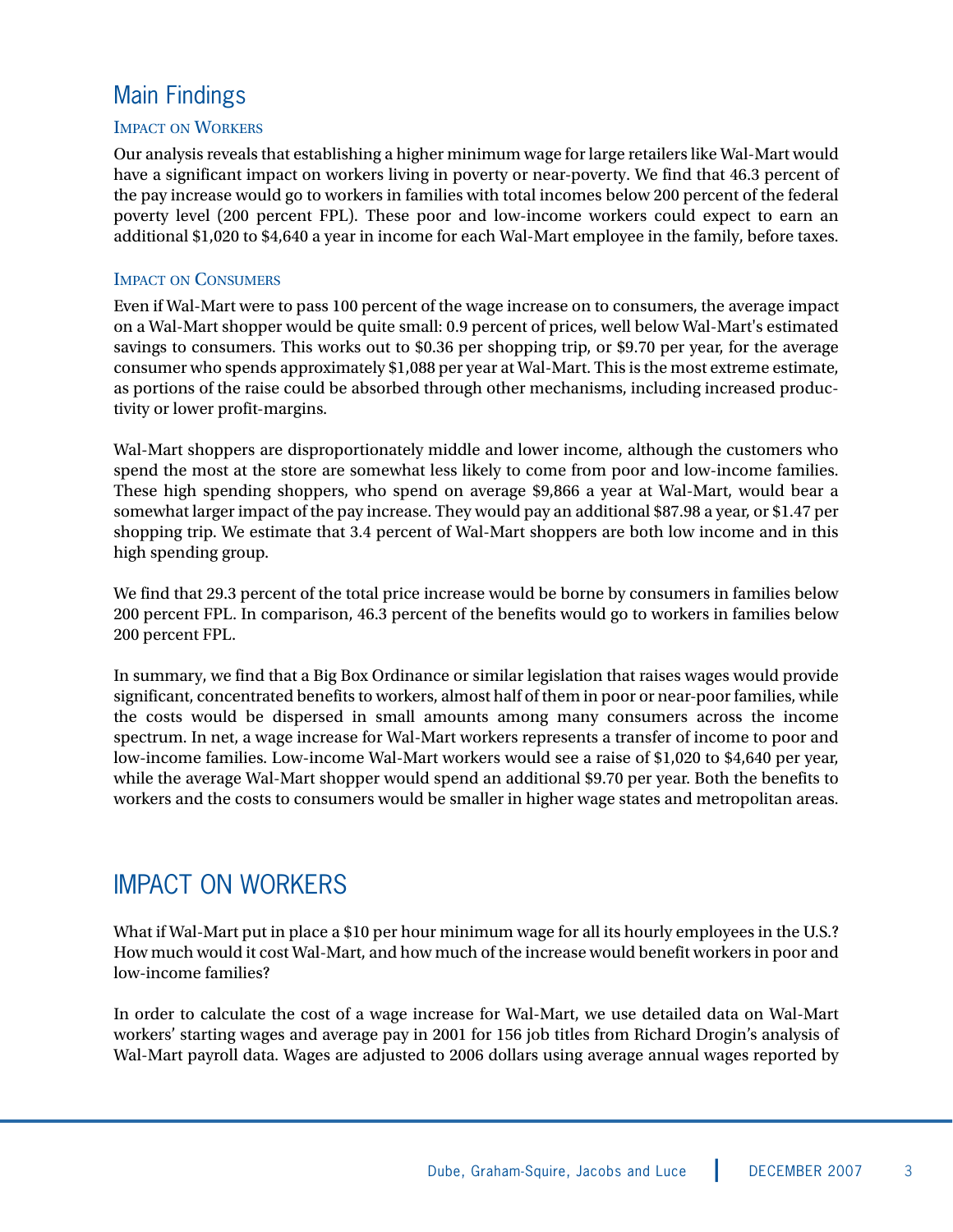## Main Findings

#### IMPACT ON WORKERS

Our analysis reveals that establishing a higher minimum wage for large retailers like Wal-Mart would have a significant impact on workers living in poverty or near-poverty. We find that 46.3 percent of the pay increase would go to workers in families with total incomes below 200 percent of the federal poverty level (200 percent FPL). These poor and low-income workers could expect to earn an additional \$1,020 to \$4,640 a year in income for each Wal-Mart employee in the family, before taxes.

#### IMPACT ON CONSUMERS

Even if Wal-Mart were to pass 100 percent of the wage increase on to consumers, the average impact on a Wal-Mart shopper would be quite small: 0.9 percent of prices, well below Wal-Mart's estimated savings to consumers. This works out to \$0.36 per shopping trip, or \$9.70 per year, for the average consumer who spends approximately \$1,088 per year at Wal-Mart. This is the most extreme estimate, as portions of the raise could be absorbed through other mechanisms, including increased productivity or lower profit-margins.

Wal-Mart shoppers are disproportionately middle and lower income, although the customers who spend the most at the store are somewhat less likely to come from poor and low-income families. These high spending shoppers, who spend on average \$9,866 a year at Wal-Mart, would bear a somewhat larger impact of the pay increase. They would pay an additional \$87.98 a year, or \$1.47 per shopping trip. We estimate that 3.4 percent of Wal-Mart shoppers are both low income and in this high spending group.

We find that 29.3 percent of the total price increase would be borne by consumers in families below 200 percent FPL. In comparison, 46.3 percent of the benefits would go to workers in families below 200 percent FPL.

In summary, we find that a Big Box Ordinance or similar legislation that raises wages would provide significant, concentrated benefits to workers, almost half of them in poor or near-poor families, while the costs would be dispersed in small amounts among many consumers across the income spectrum. In net, a wage increase for Wal-Mart workers represents a transfer of income to poor and low-income families. Low-income Wal-Mart workers would see a raise of \$1,020 to \$4,640 per year, while the average Wal-Mart shopper would spend an additional \$9.70 per year. Both the benefits to workers and the costs to consumers would be smaller in higher wage states and metropolitan areas.

## IMPACT ON WORKERS

What if Wal-Mart put in place a \$10 per hour minimum wage for all its hourly employees in the U.S.? How much would it cost Wal-Mart, and how much of the increase would benefit workers in poor and low-income families?

In order to calculate the cost of a wage increase for Wal-Mart, we use detailed data on Wal-Mart workers' starting wages and average pay in 2001 for 156 job titles from Richard Drogin's analysis of Wal-Mart payroll data. Wages are adjusted to 2006 dollars using average annual wages reported by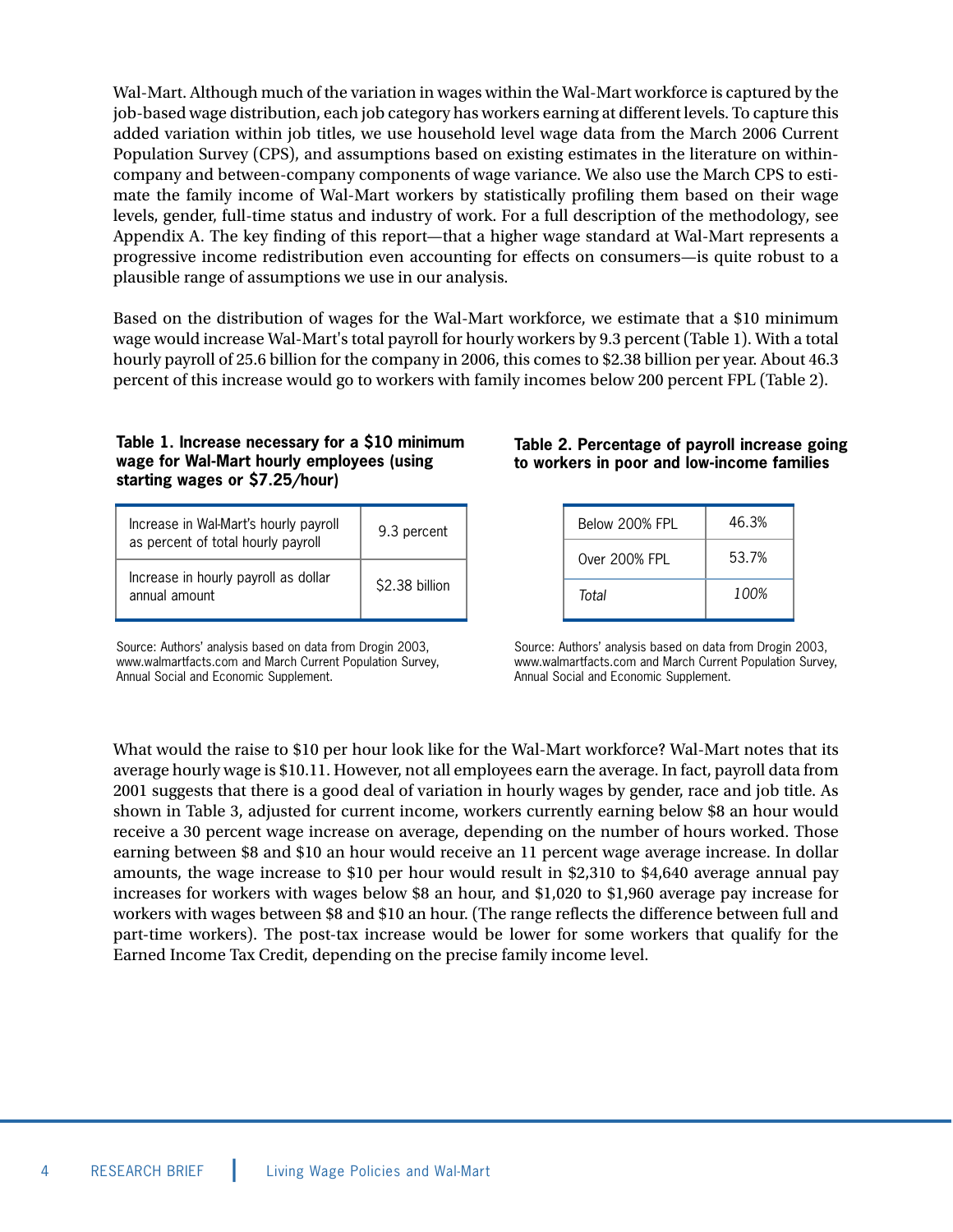Wal-Mart. Although much of the variation in wages within the Wal-Mart workforce is captured by the job-based wage distribution, each job category has workers earning at different levels. To capture this added variation within job titles, we use household level wage data from the March 2006 Current Population Survey (CPS), and assumptions based on existing estimates in the literature on withincompany and between-company components of wage variance. We also use the March CPS to estimate the family income of Wal-Mart workers by statistically profiling them based on their wage levels, gender, full-time status and industry of work. For a full description of the methodology, see Appendix A. The key finding of this report—that a higher wage standard at Wal-Mart represents a progressive income redistribution even accounting for effects on consumers—is quite robust to a plausible range of assumptions we use in our analysis.

Based on the distribution of wages for the Wal-Mart workforce, we estimate that a \$10 minimum wage would increase Wal-Mart's total payroll for hourly workers by 9.3 percent (Table 1). With a total hourly payroll of 25.6 billion for the company in 2006, this comes to \$2.38 billion per year. About 46.3 percent of this increase would go to workers with family incomes below 200 percent FPL (Table 2).

#### **Table 1. Increase necessary for a \$10 minimum wage for Wal-Mart hourly employees (using starting wages or \$7.25/hour)**

| Increase in Wal-Mart's hourly payroll<br>as percent of total hourly payroll | 9.3 percent    |
|-----------------------------------------------------------------------------|----------------|
| Increase in hourly payroll as dollar<br>annual amount                       | \$2.38 billion |

Source: Authors' analysis based on data from Drogin 2003, www.walmartfacts.com and March Current Population Survey, Annual Social and Economic Supplement.

#### **Table 2. Percentage of payroll increase going to workers in poor and low-income families**

| Below 200% FPL | 46.3% |
|----------------|-------|
| Over 200% FPI  | 53.7% |
| Total          | 100%  |

Source: Authors' analysis based on data from Drogin 2003, www.walmartfacts.com and March Current Population Survey, Annual Social and Economic Supplement.

What would the raise to \$10 per hour look like for the Wal-Mart workforce? Wal-Mart notes that its average hourly wage is \$10.11. However, not all employees earn the average. In fact, payroll data from 2001 suggests that there is a good deal of variation in hourly wages by gender, race and job title. As shown in Table 3, adjusted for current income, workers currently earning below \$8 an hour would receive a 30 percent wage increase on average, depending on the number of hours worked. Those earning between \$8 and \$10 an hour would receive an 11 percent wage average increase. In dollar amounts, the wage increase to \$10 per hour would result in \$2,310 to \$4,640 average annual pay increases for workers with wages below \$8 an hour, and \$1,020 to \$1,960 average pay increase for workers with wages between \$8 and \$10 an hour. (The range reflects the difference between full and part-time workers). The post-tax increase would be lower for some workers that qualify for the Earned Income Tax Credit, depending on the precise family income level.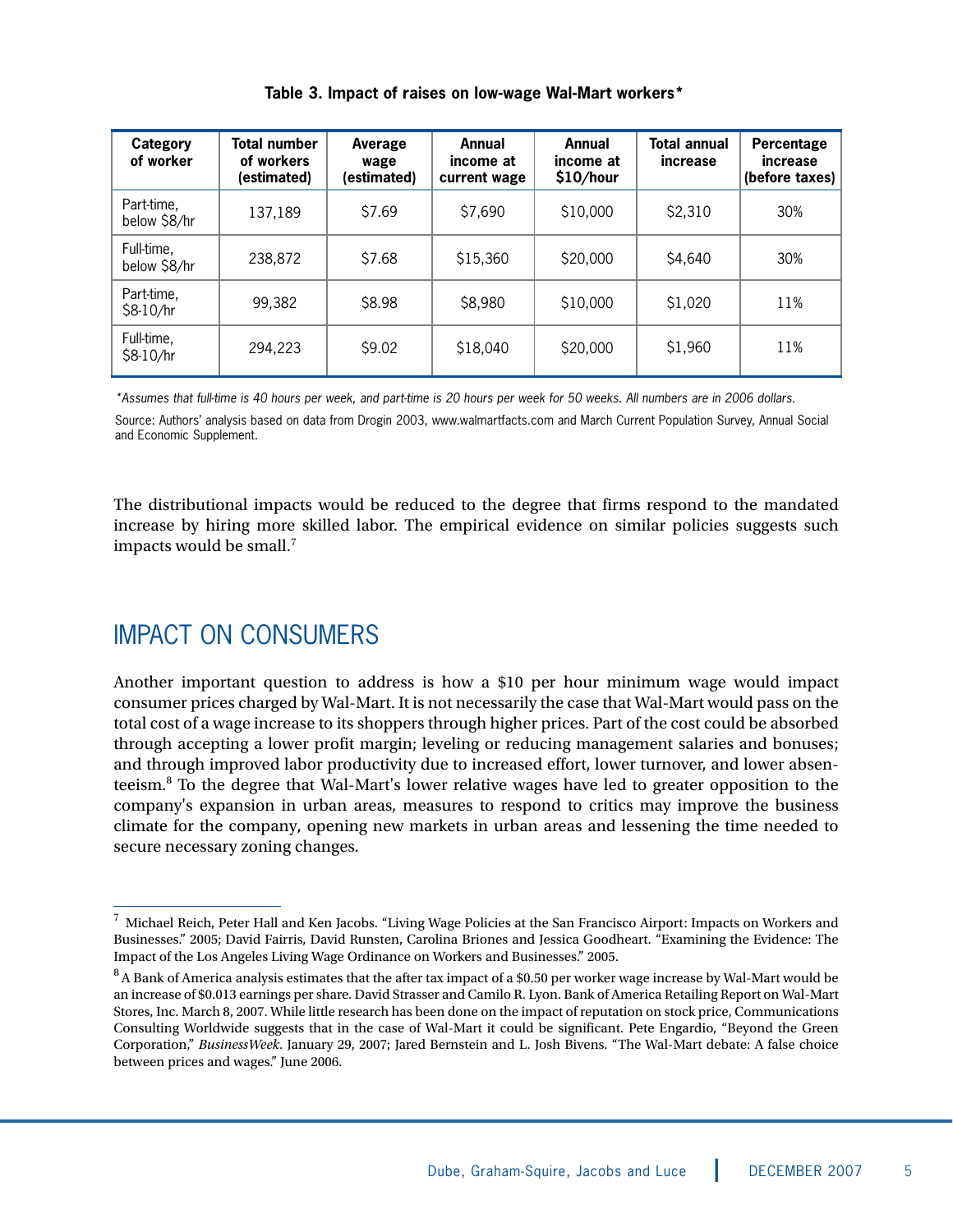| Category<br>of worker      | Total number<br>of workers<br>(estimated) | Average<br>wage<br>(estimated) | Annual<br>income at<br>current wage | Annual<br>income at<br>\$10/hour | <b>Total annual</b><br>increase | Percentage<br>increase<br>(before taxes) |
|----------------------------|-------------------------------------------|--------------------------------|-------------------------------------|----------------------------------|---------------------------------|------------------------------------------|
| Part-time,<br>below \$8/hr | 137,189                                   | \$7.69                         | \$7,690                             | \$10,000                         | \$2,310                         | 30%                                      |
| Full-time,<br>below \$8/hr | 238,872                                   | \$7.68                         | \$15,360                            | \$20,000                         | \$4,640                         | 30%                                      |
| Part-time,<br>\$8-10/hr    | 99,382                                    | \$8.98                         | \$8,980                             | \$10,000                         | \$1,020                         | 11%                                      |
| Full-time,<br>\$8-10/hr    | 294,223                                   | \$9.02                         | \$18,040                            | \$20,000                         | \$1,960                         | 11%                                      |

#### **Table 3. Impact of raises on low-wage Wal-Mart workers\***

\*Assumes that full-time is 40 hours per week, and part-time is 20 hours per week for 50 weeks. All numbers are in 2006 dollars. Source: Authors' analysis based on data from Drogin 2003, www.walmartfacts.com and March Current Population Survey, Annual Social and Economic Supplement.

The distributional impacts would be reduced to the degree that firms respond to the mandated increase by hiring more skilled labor. The empirical evidence on similar policies suggests such impacts would be small.<sup>7</sup>

## IMPACT ON CONSUMERS

Another important question to address is how a \$10 per hour minimum wage would impact consumer prices charged by Wal-Mart. It is not necessarily the case that Wal-Mart would pass on the total cost of a wage increase to its shoppers through higher prices. Part of the cost could be absorbed through accepting a lower profit margin; leveling or reducing management salaries and bonuses; and through improved labor productivity due to increased effort, lower turnover, and lower absenteeism.8 To the degree that Wal-Mart's lower relative wages have led to greater opposition to the company's expansion in urban areas, measures to respond to critics may improve the business climate for the company, opening new markets in urban areas and lessening the time needed to secure necessary zoning changes.

 $7$  Michael Reich, Peter Hall and Ken Jacobs. "Living Wage Policies at the San Francisco Airport: Impacts on Workers and Businesses." 2005; David Fairris, David Runsten, Carolina Briones and Jessica Goodheart. "Examining the Evidence: The Impact of the Los Angeles Living Wage Ordinance on Workers and Businesses." 2005.

<sup>&</sup>lt;sup>8</sup> A Bank of America analysis estimates that the after tax impact of a \$0.50 per worker wage increase by Wal-Mart would be an increase of \$0.013 earnings per share. David Strasser and Camilo R. Lyon. Bank of America Retailing Report on Wal-Mart Stores, Inc. March 8, 2007. While little research has been done on the impact of reputation on stock price, Communications Consulting Worldwide suggests that in the case of Wal-Mart it could be significant. Pete Engardio, "Beyond the Green Corporation," *BusinessWeek*. January 29, 2007; Jared Bernstein and L. Josh Bivens. "The Wal-Mart debate: A false choice between prices and wages." June 2006.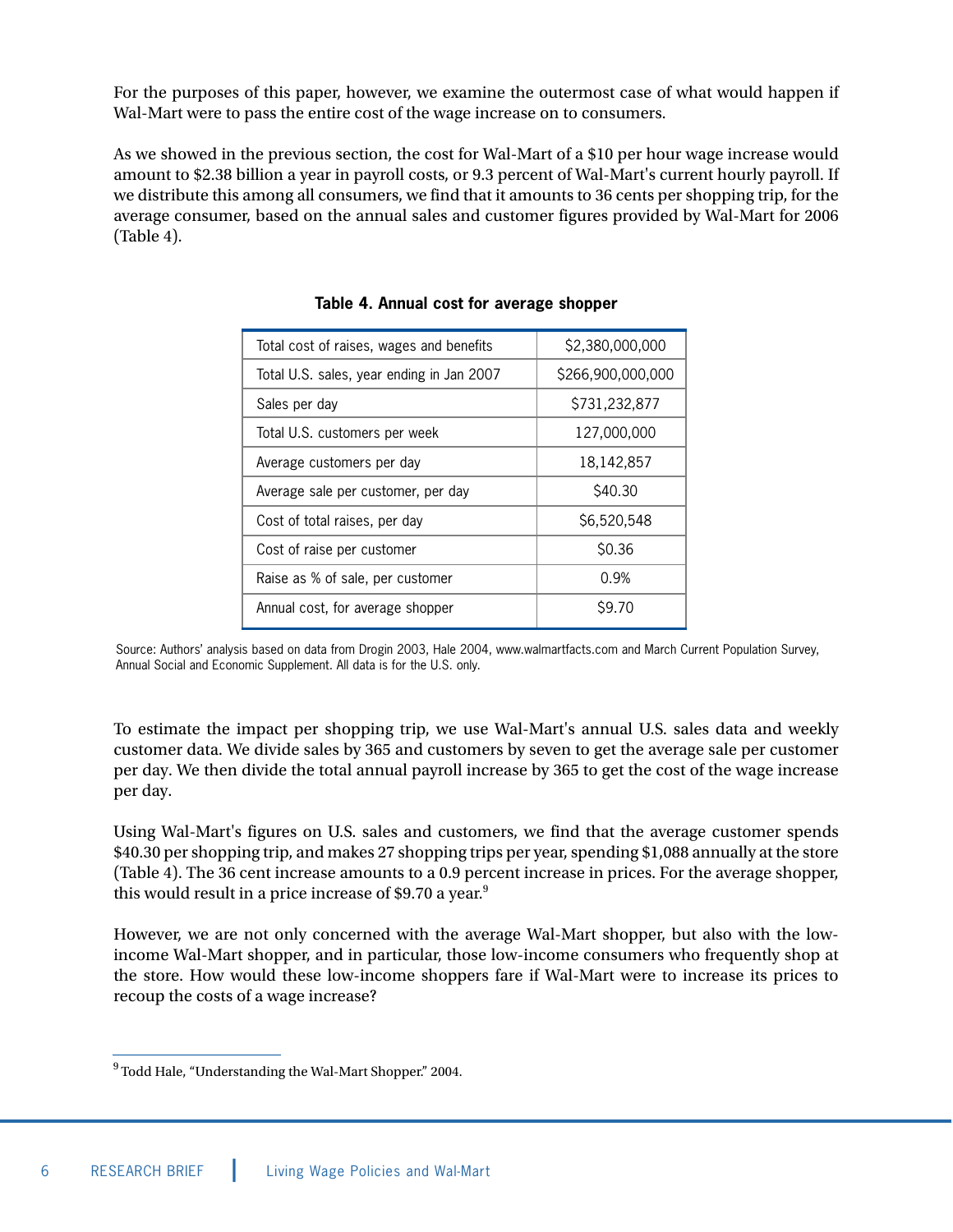For the purposes of this paper, however, we examine the outermost case of what would happen if Wal-Mart were to pass the entire cost of the wage increase on to consumers.

As we showed in the previous section, the cost for Wal-Mart of a \$10 per hour wage increase would amount to \$2.38 billion a year in payroll costs, or 9.3 percent of Wal-Mart's current hourly payroll. If we distribute this among all consumers, we find that it amounts to 36 cents per shopping trip, for the average consumer, based on the annual sales and customer figures provided by Wal-Mart for 2006 (Table 4).

| Total cost of raises, wages and benefits  | \$2,380,000,000   |  |  |
|-------------------------------------------|-------------------|--|--|
| Total U.S. sales, year ending in Jan 2007 | \$266,900,000,000 |  |  |
| Sales per day                             | \$731,232,877     |  |  |
| Total U.S. customers per week             | 127,000,000       |  |  |
| Average customers per day                 | 18,142,857        |  |  |
| Average sale per customer, per day        | \$40.30           |  |  |
| Cost of total raises, per day             | \$6,520,548       |  |  |
| Cost of raise per customer                | \$0.36            |  |  |
| Raise as % of sale, per customer          | 0.9%              |  |  |
| Annual cost, for average shopper          | S9.70             |  |  |
|                                           |                   |  |  |

#### **Table 4. Annual cost for average shopper**

Source: Authors' analysis based on data from Drogin 2003, Hale 2004, www.walmartfacts.com and March Current Population Survey, Annual Social and Economic Supplement. All data is for the U.S. only.

To estimate the impact per shopping trip, we use Wal-Mart's annual U.S. sales data and weekly customer data. We divide sales by 365 and customers by seven to get the average sale per customer per day. We then divide the total annual payroll increase by 365 to get the cost of the wage increase per day.

Using Wal-Mart's figures on U.S. sales and customers, we find that the average customer spends \$40.30 per shopping trip, and makes 27 shopping trips per year, spending \$1,088 annually at the store (Table 4). The 36 cent increase amounts to a 0.9 percent increase in prices. For the average shopper, this would result in a price increase of \$9.70 a year.<sup>9</sup>

However, we are not only concerned with the average Wal-Mart shopper, but also with the lowincome Wal-Mart shopper, and in particular, those low-income consumers who frequently shop at the store. How would these low-income shoppers fare if Wal-Mart were to increase its prices to recoup the costs of a wage increase?

<sup>9</sup> Todd Hale, "Understanding the Wal-Mart Shopper." 2004.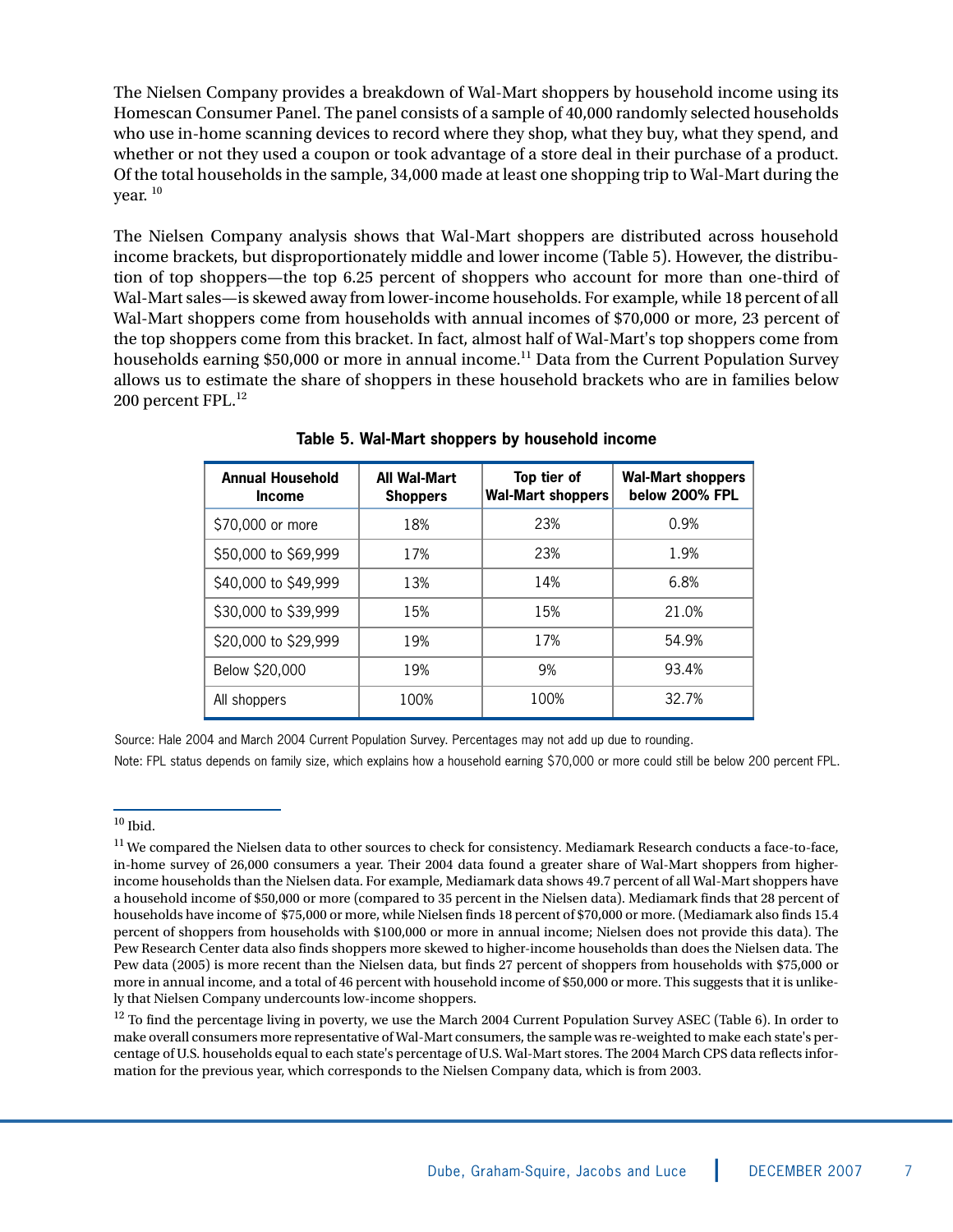The Nielsen Company provides a breakdown of Wal-Mart shoppers by household income using its Homescan Consumer Panel. The panel consists of a sample of 40,000 randomly selected households who use in-home scanning devices to record where they shop, what they buy, what they spend, and whether or not they used a coupon or took advantage of a store deal in their purchase of a product. Of the total households in the sample, 34,000 made at least one shopping trip to Wal-Mart during the vear.  $^{10}$ 

The Nielsen Company analysis shows that Wal-Mart shoppers are distributed across household income brackets, but disproportionately middle and lower income (Table 5). However, the distribution of top shoppers—the top 6.25 percent of shoppers who account for more than one-third of Wal-Mart sales—is skewed away from lower-income households. For example, while 18 percent of all Wal-Mart shoppers come from households with annual incomes of \$70,000 or more, 23 percent of the top shoppers come from this bracket. In fact, almost half of Wal-Mart's top shoppers come from households earning \$50,000 or more in annual income.<sup>11</sup> Data from the Current Population Survey allows us to estimate the share of shoppers in these household brackets who are in families below 200 percent FPL.<sup>12</sup>

| <b>Annual Household</b><br><b>Income</b> | <b>All Wal-Mart</b><br><b>Shoppers</b> | Top tier of<br><b>Wal-Mart shoppers</b> | <b>Wal-Mart shoppers</b><br>below 200% FPL |
|------------------------------------------|----------------------------------------|-----------------------------------------|--------------------------------------------|
| \$70,000 or more                         | 18%                                    | 23%                                     | 0.9%                                       |
| \$50,000 to \$69,999                     | 17%                                    | 23%                                     | 1.9%                                       |
| \$40,000 to \$49,999                     | 13%                                    | 14%                                     | 6.8%                                       |
| \$30,000 to \$39,999                     | 15%                                    | 15%                                     | 21.0%                                      |
| \$20,000 to \$29,999                     | 19%                                    | 17%                                     | 54.9%                                      |
| Below \$20,000                           | 19%                                    | 9%                                      | 93.4%                                      |
| All shoppers                             | 100%                                   | 100%                                    | 32.7%                                      |

**Table 5. Wal-Mart shoppers by household income**

Source: Hale 2004 and March 2004 Current Population Survey. Percentages may not add up due to rounding.

Note: FPL status depends on family size, which explains how a household earning \$70,000 or more could still be below 200 percent FPL.

<sup>12</sup> To find the percentage living in poverty, we use the March 2004 Current Population Survey ASEC (Table 6). In order to make overall consumers more representative of Wal-Mart consumers, the sample was re-weighted to make each state's percentage of U.S. households equal to each state's percentage of U.S. Wal-Mart stores. The 2004 March CPS data reflects information for the previous year, which corresponds to the Nielsen Company data, which is from 2003.

 $10$  Ibid.

 $11$  We compared the Nielsen data to other sources to check for consistency. Mediamark Research conducts a face-to-face, in-home survey of 26,000 consumers a year. Their 2004 data found a greater share of Wal-Mart shoppers from higherincome households than the Nielsen data. For example, Mediamark data shows 49.7 percent of all Wal-Mart shoppers have a household income of \$50,000 or more (compared to 35 percent in the Nielsen data). Mediamark finds that 28 percent of households have income of \$75,000 or more, while Nielsen finds 18 percent of \$70,000 or more. (Mediamark also finds 15.4 percent of shoppers from households with \$100,000 or more in annual income; Nielsen does not provide this data). The Pew Research Center data also finds shoppers more skewed to higher-income households than does the Nielsen data. The Pew data (2005) is more recent than the Nielsen data, but finds 27 percent of shoppers from households with \$75,000 or more in annual income, and a total of 46 percent with household income of \$50,000 or more. This suggests that it is unlikely that Nielsen Company undercounts low-income shoppers.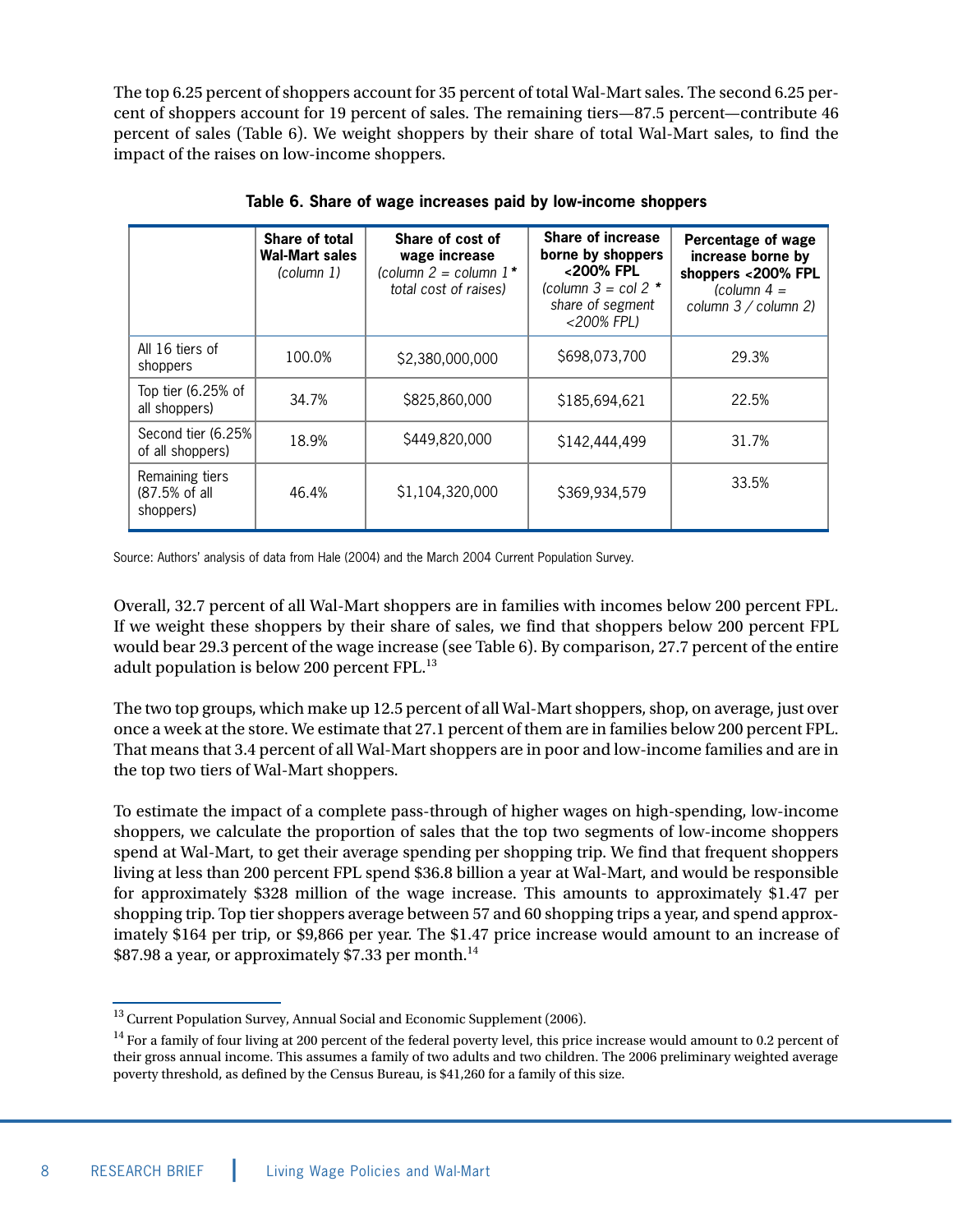The top 6.25 percent of shoppers account for 35 percent of total Wal-Mart sales. The second 6.25 percent of shoppers account for 19 percent of sales. The remaining tiers—87.5 percent—contribute 46 percent of sales (Table 6). We weight shoppers by their share of total Wal-Mart sales, to find the impact of the raises on low-income shoppers.

|                                               | Share of total<br><b>Wal-Mart sales</b><br>$\text{column }1\text{)}$ | Share of cost of<br>wage increase<br>(column $2 = \text{column } 1$ *<br>total cost of raises) | Share of increase<br>borne by shoppers<br><200% FPL<br>(column $3 = \text{col } 2$ *<br>share of segment<br><200% FPL) | Percentage of wage<br>increase borne by<br>shoppers <200% FPL<br>(column $4 =$<br>column 3 / column 2) |
|-----------------------------------------------|----------------------------------------------------------------------|------------------------------------------------------------------------------------------------|------------------------------------------------------------------------------------------------------------------------|--------------------------------------------------------------------------------------------------------|
| All 16 tiers of<br>shoppers                   | 100.0%                                                               | \$2,380,000,000                                                                                | \$698,073,700                                                                                                          | 29.3%                                                                                                  |
| Top tier $(6.25\%$ of<br>all shoppers)        | 34.7%                                                                | \$825,860,000                                                                                  | \$185,694,621                                                                                                          | 22.5%                                                                                                  |
| Second tier (6.25%)<br>of all shoppers)       | 18.9%                                                                | \$449,820,000                                                                                  | \$142,444,499                                                                                                          | 31.7%                                                                                                  |
| Remaining tiers<br>(87.5% of all<br>shoppers) | 46.4%                                                                | \$1,104,320,000                                                                                | \$369,934,579                                                                                                          | 33.5%                                                                                                  |

**Table 6. Share of wage increases paid by low-income shoppers**

Source: Authors' analysis of data from Hale (2004) and the March 2004 Current Population Survey.

Overall, 32.7 percent of all Wal-Mart shoppers are in families with incomes below 200 percent FPL. If we weight these shoppers by their share of sales, we find that shoppers below 200 percent FPL would bear 29.3 percent of the wage increase (see Table 6). By comparison, 27.7 percent of the entire adult population is below 200 percent FPL.<sup>13</sup>

The two top groups, which make up 12.5 percent of all Wal-Mart shoppers, shop, on average, just over once a week at the store. We estimate that 27.1 percent of them are in families below 200 percent FPL. That means that 3.4 percent of all Wal-Mart shoppers are in poor and low-income families and are in the top two tiers of Wal-Mart shoppers.

To estimate the impact of a complete pass-through of higher wages on high-spending, low-income shoppers, we calculate the proportion of sales that the top two segments of low-income shoppers spend at Wal-Mart, to get their average spending per shopping trip. We find that frequent shoppers living at less than 200 percent FPL spend \$36.8 billion a year at Wal-Mart, and would be responsible for approximately \$328 million of the wage increase. This amounts to approximately \$1.47 per shopping trip. Top tier shoppers average between 57 and 60 shopping trips a year, and spend approximately \$164 per trip, or \$9,866 per year. The \$1.47 price increase would amount to an increase of \$87.98 a year, or approximately \$7.33 per month.<sup>14</sup>

<sup>&</sup>lt;sup>13</sup> Current Population Survey, Annual Social and Economic Supplement (2006).

<sup>&</sup>lt;sup>14</sup> For a family of four living at 200 percent of the federal poverty level, this price increase would amount to 0.2 percent of their gross annual income. This assumes a family of two adults and two children. The 2006 preliminary weighted average poverty threshold, as defined by the Census Bureau, is \$41,260 for a family of this size.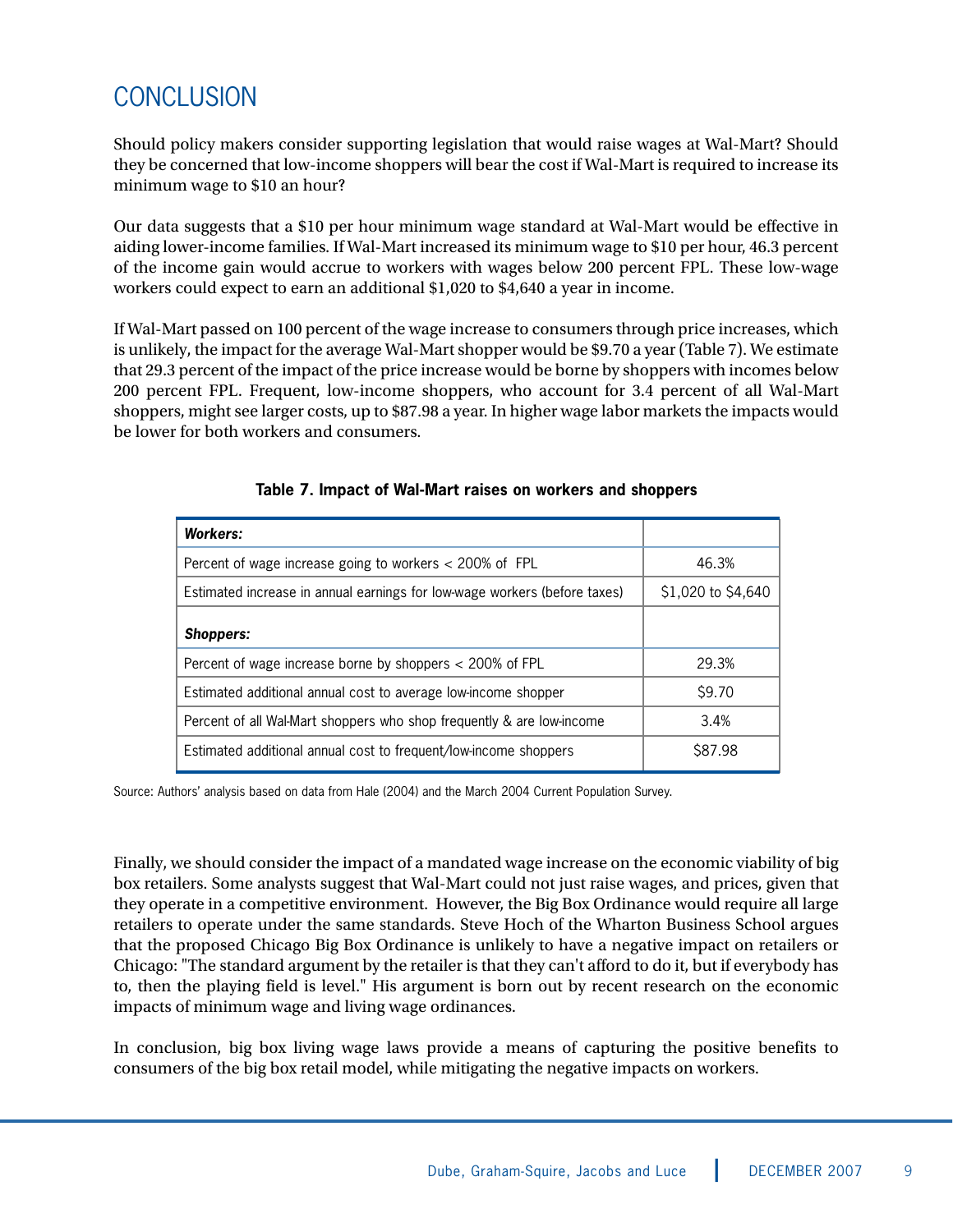## CONCLUSION

Should policy makers consider supporting legislation that would raise wages at Wal-Mart? Should they be concerned that low-income shoppers will bear the cost if Wal-Mart is required to increase its minimum wage to \$10 an hour?

Our data suggests that a \$10 per hour minimum wage standard at Wal-Mart would be effective in aiding lower-income families. If Wal-Mart increased its minimum wage to \$10 per hour, 46.3 percent of the income gain would accrue to workers with wages below 200 percent FPL. These low-wage workers could expect to earn an additional \$1,020 to \$4,640 a year in income.

If Wal-Mart passed on 100 percent of the wage increase to consumers through price increases, which is unlikely, the impact for the average Wal-Mart shopper would be \$9.70 a year (Table 7). We estimate that 29.3 percent of the impact of the price increase would be borne by shoppers with incomes below 200 percent FPL. Frequent, low-income shoppers, who account for 3.4 percent of all Wal-Mart shoppers, might see larger costs, up to \$87.98 a year. In higher wage labor markets the impacts would be lower for both workers and consumers.

| <b>Workers:</b>                                                           |                    |  |
|---------------------------------------------------------------------------|--------------------|--|
| Percent of wage increase going to workers $<$ 200% of FPL                 | 46.3%              |  |
| Estimated increase in annual earnings for low-wage workers (before taxes) | \$1,020 to \$4,640 |  |
| <b>Shoppers:</b>                                                          |                    |  |
| Percent of wage increase borne by shoppers < 200% of FPL                  | 29.3%              |  |
| Estimated additional annual cost to average low-income shopper            | S9.70              |  |
| Percent of all Wal-Mart shoppers who shop frequently & are low-income     | 3.4%               |  |
| Estimated additional annual cost to frequent/low-income shoppers          | S87.98             |  |

#### **Table 7. Impact of Wal-Mart raises on workers and shoppers**

Source: Authors' analysis based on data from Hale (2004) and the March 2004 Current Population Survey.

Finally, we should consider the impact of a mandated wage increase on the economic viability of big box retailers. Some analysts suggest that Wal-Mart could not just raise wages, and prices, given that they operate in a competitive environment. However, the Big Box Ordinance would require all large retailers to operate under the same standards. Steve Hoch of the Wharton Business School argues that the proposed Chicago Big Box Ordinance is unlikely to have a negative impact on retailers or Chicago: "The standard argument by the retailer is that they can't afford to do it, but if everybody has to, then the playing field is level." His argument is born out by recent research on the economic impacts of minimum wage and living wage ordinances.

In conclusion, big box living wage laws provide a means of capturing the positive benefits to consumers of the big box retail model, while mitigating the negative impacts on workers.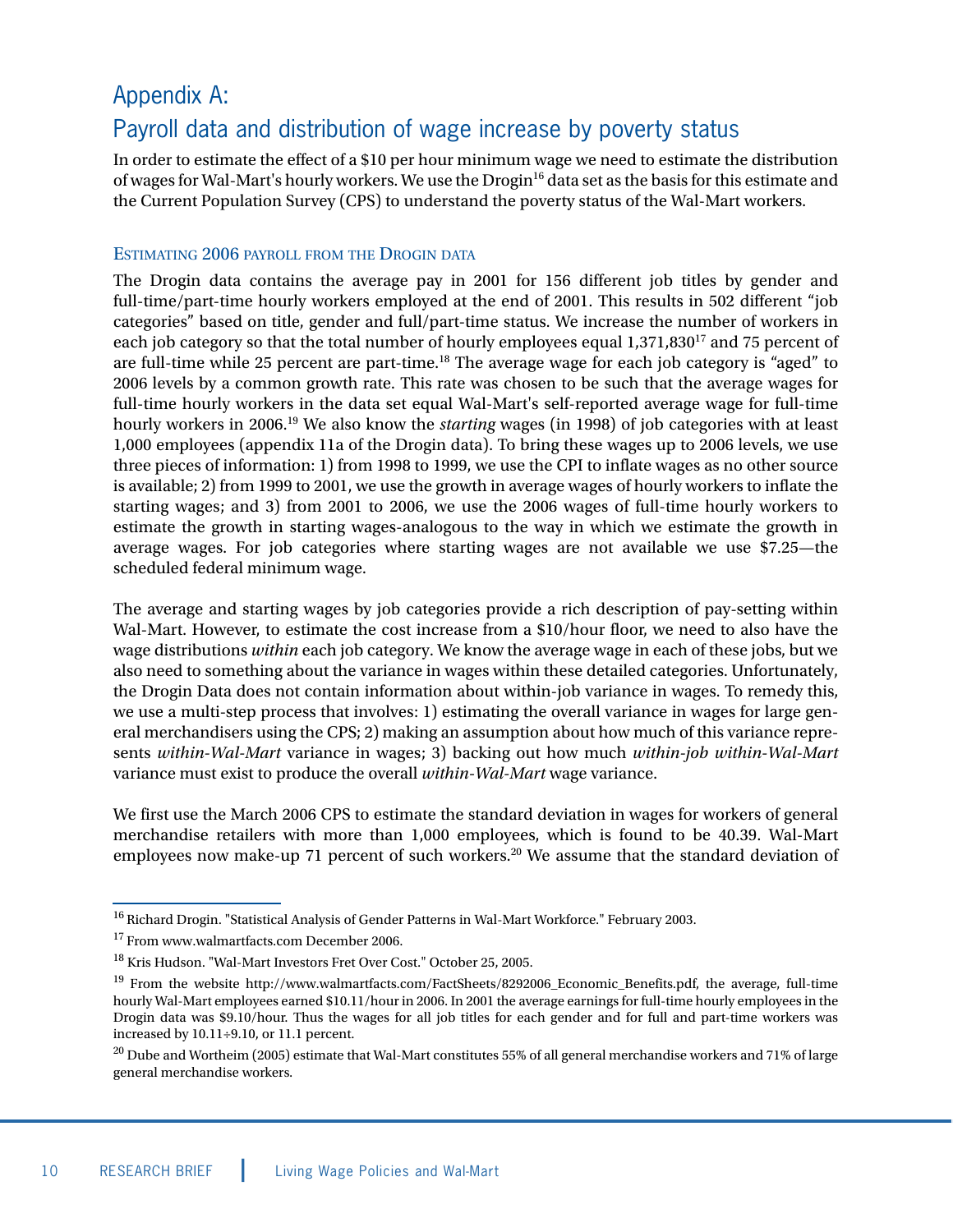## Appendix A: Payroll data and distribution of wage increase by poverty status

In order to estimate the effect of a \$10 per hour minimum wage we need to estimate the distribution of wages for Wal-Mart's hourly workers. We use the Drogin<sup>16</sup> data set as the basis for this estimate and the Current Population Survey (CPS) to understand the poverty status of the Wal-Mart workers.

#### ESTIMATING 2006 PAYROLL FROM THE DROGIN DATA

The Drogin data contains the average pay in 2001 for 156 different job titles by gender and full-time/part-time hourly workers employed at the end of 2001. This results in 502 different "job categories" based on title, gender and full/part-time status. We increase the number of workers in each job category so that the total number of hourly employees equal 1,371,830<sup>17</sup> and 75 percent of are full-time while 25 percent are part-time.<sup>18</sup> The average wage for each job category is "aged" to 2006 levels by a common growth rate. This rate was chosen to be such that the average wages for full-time hourly workers in the data set equal Wal-Mart's self-reported average wage for full-time hourly workers in 2006.19 We also know the *starting* wages (in 1998) of job categories with at least 1,000 employees (appendix 11a of the Drogin data). To bring these wages up to 2006 levels, we use three pieces of information: 1) from 1998 to 1999, we use the CPI to inflate wages as no other source is available; 2) from 1999 to 2001, we use the growth in average wages of hourly workers to inflate the starting wages; and 3) from 2001 to 2006, we use the 2006 wages of full-time hourly workers to estimate the growth in starting wages-analogous to the way in which we estimate the growth in average wages. For job categories where starting wages are not available we use \$7.25—the scheduled federal minimum wage.

The average and starting wages by job categories provide a rich description of pay-setting within Wal-Mart. However, to estimate the cost increase from a \$10/hour floor, we need to also have the wage distributions *within* each job category. We know the average wage in each of these jobs, but we also need to something about the variance in wages within these detailed categories. Unfortunately, the Drogin Data does not contain information about within-job variance in wages. To remedy this, we use a multi-step process that involves: 1) estimating the overall variance in wages for large general merchandisers using the CPS; 2) making an assumption about how much of this variance represents *within-Wal-Mart* variance in wages; 3) backing out how much *within-job within-Wal-Mart* variance must exist to produce the overall *within-Wal-Mart* wage variance.

We first use the March 2006 CPS to estimate the standard deviation in wages for workers of general merchandise retailers with more than 1,000 employees, which is found to be 40.39. Wal-Mart employees now make-up 71 percent of such workers.<sup>20</sup> We assume that the standard deviation of

<sup>&</sup>lt;sup>16</sup> Richard Drogin. "Statistical Analysis of Gender Patterns in Wal-Mart Workforce." February 2003.

<sup>&</sup>lt;sup>17</sup> From www.walmartfacts.com December 2006.

<sup>18</sup> Kris Hudson. "Wal-Mart Investors Fret Over Cost." October 25, 2005.

<sup>&</sup>lt;sup>19</sup> From the website http://www.walmartfacts.com/FactSheets/8292006\_Economic\_Benefits.pdf, the average, full-time hourly Wal-Mart employees earned \$10.11/hour in 2006. In 2001 the average earnings for full-time hourly employees in the Drogin data was \$9.10/hour. Thus the wages for all job titles for each gender and for full and part-time workers was increased by 10.11÷9.10, or 11.1 percent.

 $^{20}$  Dube and Wortheim (2005) estimate that Wal-Mart constitutes 55% of all general merchandise workers and 71% of large general merchandise workers.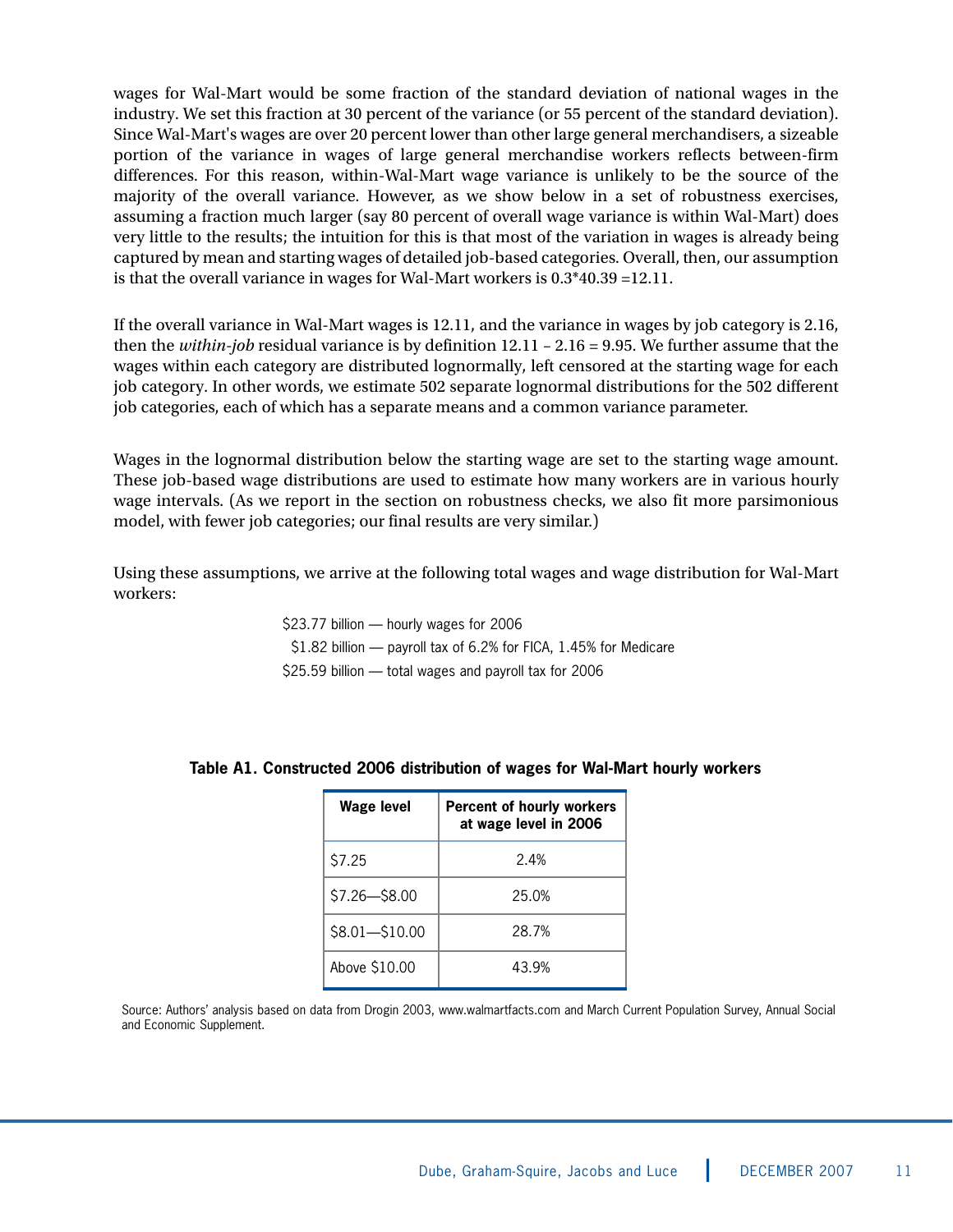wages for Wal-Mart would be some fraction of the standard deviation of national wages in the industry. We set this fraction at 30 percent of the variance (or 55 percent of the standard deviation). Since Wal-Mart's wages are over 20 percent lower than other large general merchandisers, a sizeable portion of the variance in wages of large general merchandise workers reflects between-firm differences. For this reason, within-Wal-Mart wage variance is unlikely to be the source of the majority of the overall variance. However, as we show below in a set of robustness exercises, assuming a fraction much larger (say 80 percent of overall wage variance is within Wal-Mart) does very little to the results; the intuition for this is that most of the variation in wages is already being captured by mean and starting wages of detailed job-based categories. Overall, then, our assumption is that the overall variance in wages for Wal-Mart workers is 0.3\*40.39 =12.11.

If the overall variance in Wal-Mart wages is 12.11, and the variance in wages by job category is 2.16, then the *within-job* residual variance is by definition 12.11 – 2.16 = 9.95. We further assume that the wages within each category are distributed lognormally, left censored at the starting wage for each job category. In other words, we estimate 502 separate lognormal distributions for the 502 different job categories, each of which has a separate means and a common variance parameter.

Wages in the lognormal distribution below the starting wage are set to the starting wage amount. These job-based wage distributions are used to estimate how many workers are in various hourly wage intervals. (As we report in the section on robustness checks, we also fit more parsimonious model, with fewer job categories; our final results are very similar.)

Using these assumptions, we arrive at the following total wages and wage distribution for Wal-Mart workers:

> \$23.77 billion — hourly wages for 2006 \$1.82 billion — payroll tax of 6.2% for FICA, 1.45% for Medicare \$25.59 billion — total wages and payroll tax for 2006

| <b>Wage level</b> | <b>Percent of hourly workers</b><br>at wage level in 2006 |
|-------------------|-----------------------------------------------------------|
| S7.25             | 24%                                                       |
| $$7.26 - $8.00$   | 25.0%                                                     |
| $$8.01 - $10.00$  | 28.7%                                                     |
| Above \$10.00     | 43.9%                                                     |

#### **Table A1. Constructed 2006 distribution of wages for Wal-Mart hourly workers**

Source: Authors' analysis based on data from Drogin 2003, www.walmartfacts.com and March Current Population Survey, Annual Social and Economic Supplement.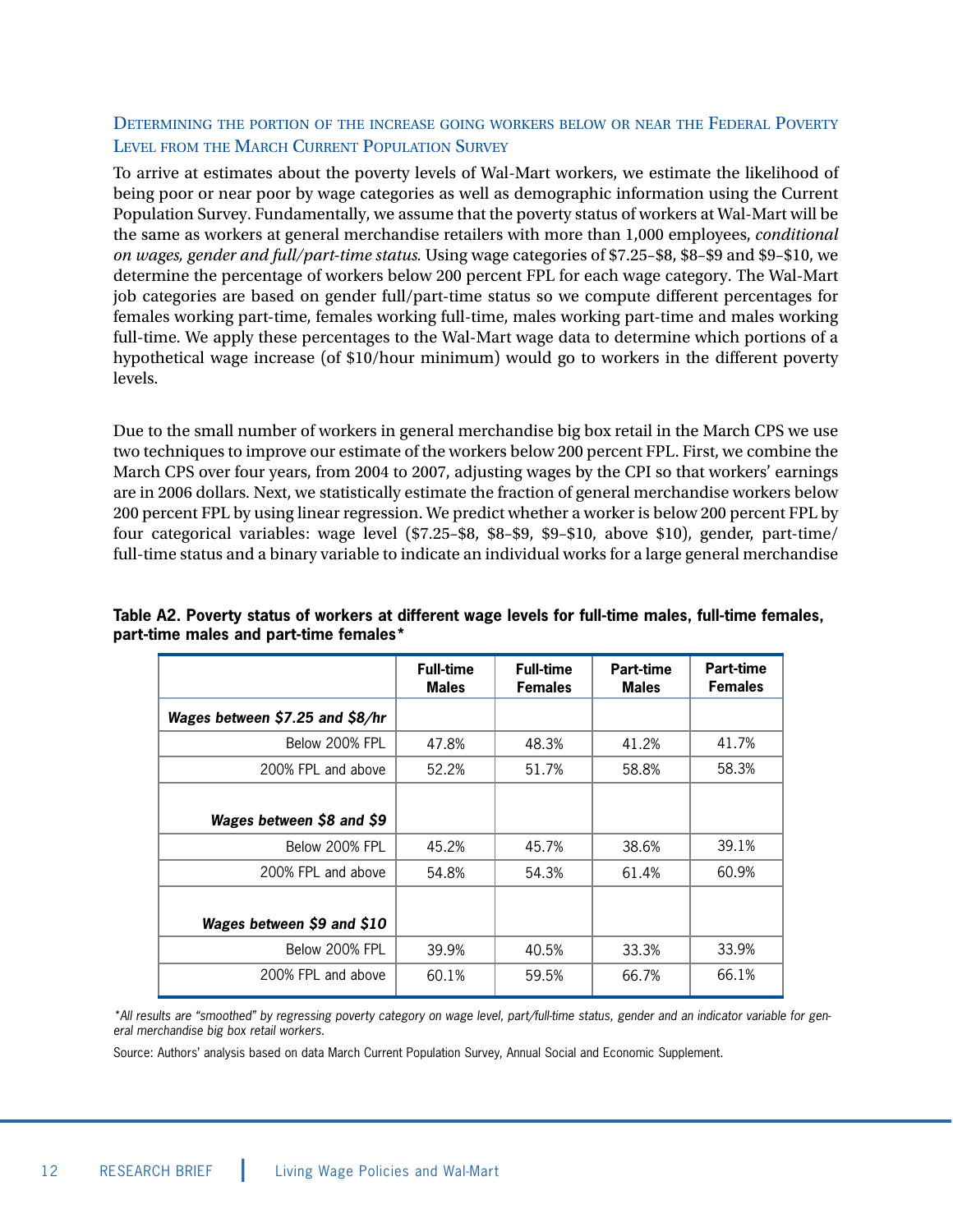#### DETERMINING THE PORTION OF THE INCREASE GOING WORKERS BELOW OR NEAR THE FEDERAL POVERTY LEVEL FROM THE MARCH CURRENT POPULATION SURVEY

To arrive at estimates about the poverty levels of Wal-Mart workers, we estimate the likelihood of being poor or near poor by wage categories as well as demographic information using the Current Population Survey. Fundamentally, we assume that the poverty status of workers at Wal-Mart will be the same as workers at general merchandise retailers with more than 1,000 employees, *conditional on wages, gender and full/part-time status.* Using wage categories of \$7.25–\$8, \$8–\$9 and \$9–\$10, we determine the percentage of workers below 200 percent FPL for each wage category. The Wal-Mart job categories are based on gender full/part-time status so we compute different percentages for females working part-time, females working full-time, males working part-time and males working full-time. We apply these percentages to the Wal-Mart wage data to determine which portions of a hypothetical wage increase (of \$10/hour minimum) would go to workers in the different poverty levels.

Due to the small number of workers in general merchandise big box retail in the March CPS we use two techniques to improve our estimate of the workers below 200 percent FPL. First, we combine the March CPS over four years, from 2004 to 2007, adjusting wages by the CPI so that workers' earnings are in 2006 dollars. Next, we statistically estimate the fraction of general merchandise workers below 200 percent FPL by using linear regression. We predict whether a worker is below 200 percent FPL by four categorical variables: wage level (\$7.25–\$8, \$8–\$9, \$9–\$10, above \$10), gender, part-time/ full-time status and a binary variable to indicate an individual works for a large general merchandise

|                                 | <b>Full-time</b><br><b>Males</b> | <b>Full-time</b><br><b>Females</b> | Part-time<br><b>Males</b> | Part-time<br><b>Females</b> |
|---------------------------------|----------------------------------|------------------------------------|---------------------------|-----------------------------|
| Wages between \$7.25 and \$8/hr |                                  |                                    |                           |                             |
| Below 200% FPL                  | 47.8%                            | 48.3%                              | 41.2%                     | 41.7%                       |
| 200% FPL and above              | 52.2%                            | 51.7%                              | 58.8%                     | 58.3%                       |
| Wages between \$8 and \$9       |                                  |                                    |                           |                             |
| Below 200% FPL                  | 45.2%                            | 45.7%                              | 38.6%                     | 39.1%                       |
| 200% FPL and above              | 54.8%                            | 54.3%                              | 61.4%                     | 60.9%                       |
| Wages between \$9 and \$10      |                                  |                                    |                           |                             |
| Below 200% FPL                  | 39.9%                            | 40.5%                              | 33.3%                     | 33.9%                       |
| 200% FPL and above              | 60.1%                            | 59.5%                              | 66.7%                     | 66.1%                       |

#### **Table A2. Poverty status of workers at different wage levels for full-time males, full-time females, part-time males and part-time females\***

\*All results are "smoothed" by regressing poverty category on wage level, part/full-time status, gender and an indicator variable for general merchandise big box retail workers.

Source: Authors' analysis based on data March Current Population Survey, Annual Social and Economic Supplement.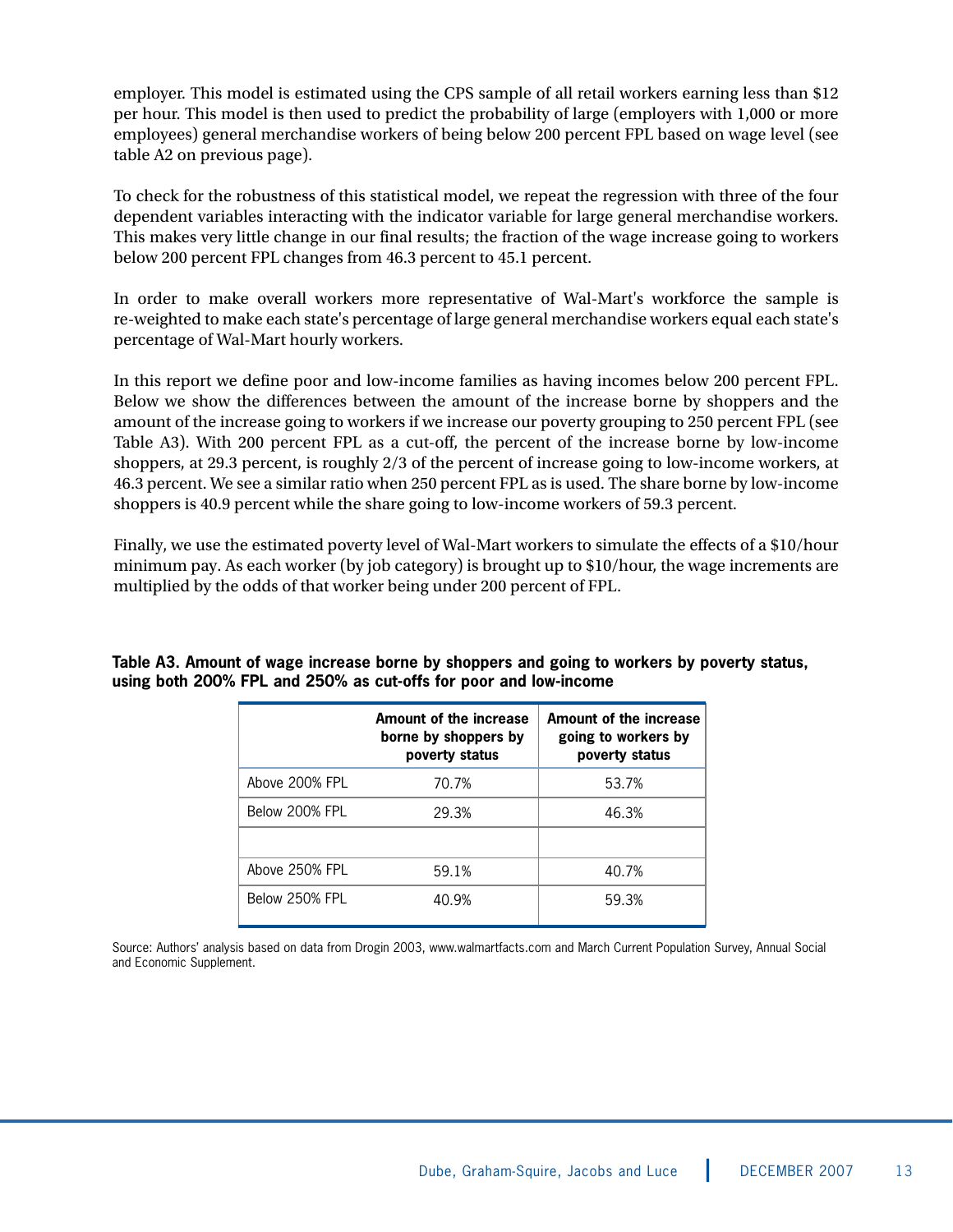employer. This model is estimated using the CPS sample of all retail workers earning less than \$12 per hour. This model is then used to predict the probability of large (employers with 1,000 or more employees) general merchandise workers of being below 200 percent FPL based on wage level (see table A2 on previous page).

To check for the robustness of this statistical model, we repeat the regression with three of the four dependent variables interacting with the indicator variable for large general merchandise workers. This makes very little change in our final results; the fraction of the wage increase going to workers below 200 percent FPL changes from 46.3 percent to 45.1 percent.

In order to make overall workers more representative of Wal-Mart's workforce the sample is re-weighted to make each state's percentage of large general merchandise workers equal each state's percentage of Wal-Mart hourly workers.

In this report we define poor and low-income families as having incomes below 200 percent FPL. Below we show the differences between the amount of the increase borne by shoppers and the amount of the increase going to workers if we increase our poverty grouping to 250 percent FPL (see Table A3). With 200 percent FPL as a cut-off, the percent of the increase borne by low-income shoppers, at 29.3 percent, is roughly 2/3 of the percent of increase going to low-income workers, at 46.3 percent. We see a similar ratio when 250 percent FPL as is used. The share borne by low-income shoppers is 40.9 percent while the share going to low-income workers of 59.3 percent.

Finally, we use the estimated poverty level of Wal-Mart workers to simulate the effects of a \$10/hour minimum pay. As each worker (by job category) is brought up to \$10/hour, the wage increments are multiplied by the odds of that worker being under 200 percent of FPL.

|                | Amount of the increase<br>borne by shoppers by<br>poverty status | <b>Amount of the increase</b><br>going to workers by<br>poverty status |
|----------------|------------------------------------------------------------------|------------------------------------------------------------------------|
| Above 200% FPL | 70.7%                                                            | 53.7%                                                                  |
| Below 200% FPL | 29.3%                                                            | 46.3%                                                                  |
|                |                                                                  |                                                                        |
| Above 250% FPL | 59.1%                                                            | 40.7%                                                                  |
| Below 250% FPL | 40.9%                                                            | 59.3%                                                                  |

**Table A3. Amount of wage increase borne by shoppers and going to workers by poverty status, using both 200% FPL and 250% as cut-offs for poor and low-income**

Source: Authors' analysis based on data from Drogin 2003, www.walmartfacts.com and March Current Population Survey, Annual Social and Economic Supplement.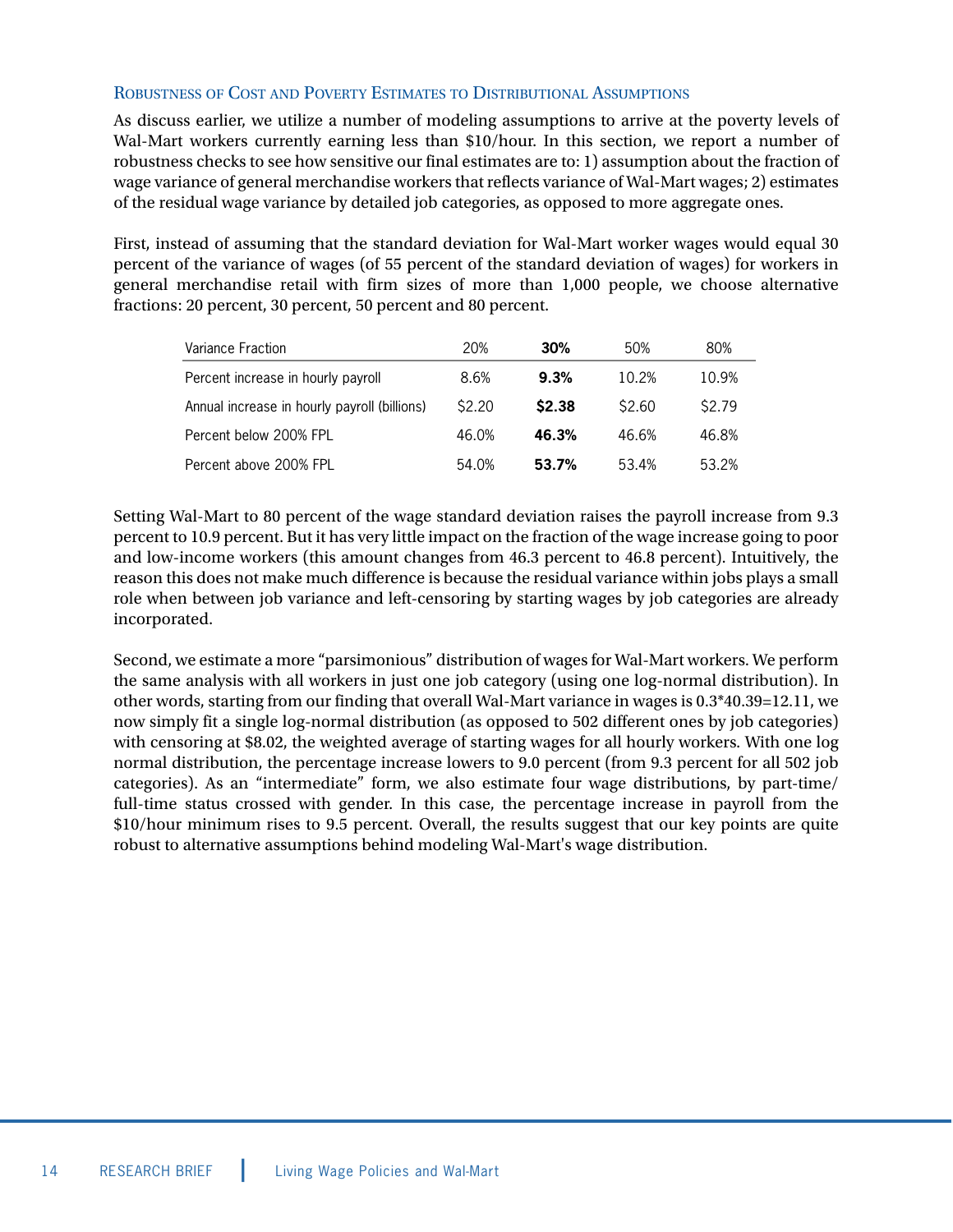#### ROBUSTNESS OF COST AND POVERTY ESTIMATES TO DISTRIBUTIONAL ASSUMPTIONS

As discuss earlier, we utilize a number of modeling assumptions to arrive at the poverty levels of Wal-Mart workers currently earning less than \$10/hour. In this section, we report a number of robustness checks to see how sensitive our final estimates are to: 1) assumption about the fraction of wage variance of general merchandise workers that reflects variance of Wal-Mart wages; 2) estimates of the residual wage variance by detailed job categories, as opposed to more aggregate ones.

First, instead of assuming that the standard deviation for Wal-Mart worker wages would equal 30 percent of the variance of wages (of 55 percent of the standard deviation of wages) for workers in general merchandise retail with firm sizes of more than 1,000 people, we choose alternative fractions: 20 percent, 30 percent, 50 percent and 80 percent.

| Variance Fraction                            | 20%    | 30%    | 50%    | 80%    |
|----------------------------------------------|--------|--------|--------|--------|
| Percent increase in hourly payroll           | 8.6%   | 9.3%   | 10.2%  | 10.9%  |
| Annual increase in hourly payroll (billions) | \$2.20 | \$2.38 | \$2.60 | \$2.79 |
| Percent below 200% FPL                       | 46.0%  | 46.3%  | 46.6%  | 46.8%  |
| Percent above 200% FPL                       | 54.0%  | 53.7%  | 53.4%  | 53.2%  |

Setting Wal-Mart to 80 percent of the wage standard deviation raises the payroll increase from 9.3 percent to 10.9 percent. But it has very little impact on the fraction of the wage increase going to poor and low-income workers (this amount changes from 46.3 percent to 46.8 percent). Intuitively, the reason this does not make much difference is because the residual variance within jobs plays a small role when between job variance and left-censoring by starting wages by job categories are already incorporated.

Second, we estimate a more "parsimonious" distribution of wages for Wal-Mart workers. We perform the same analysis with all workers in just one job category (using one log-normal distribution). In other words, starting from our finding that overall Wal-Mart variance in wages is 0.3\*40.39=12.11, we now simply fit a single log-normal distribution (as opposed to 502 different ones by job categories) with censoring at \$8.02, the weighted average of starting wages for all hourly workers. With one log normal distribution, the percentage increase lowers to 9.0 percent (from 9.3 percent for all 502 job categories). As an "intermediate" form, we also estimate four wage distributions, by part-time/ full-time status crossed with gender. In this case, the percentage increase in payroll from the \$10/hour minimum rises to 9.5 percent. Overall, the results suggest that our key points are quite robust to alternative assumptions behind modeling Wal-Mart's wage distribution.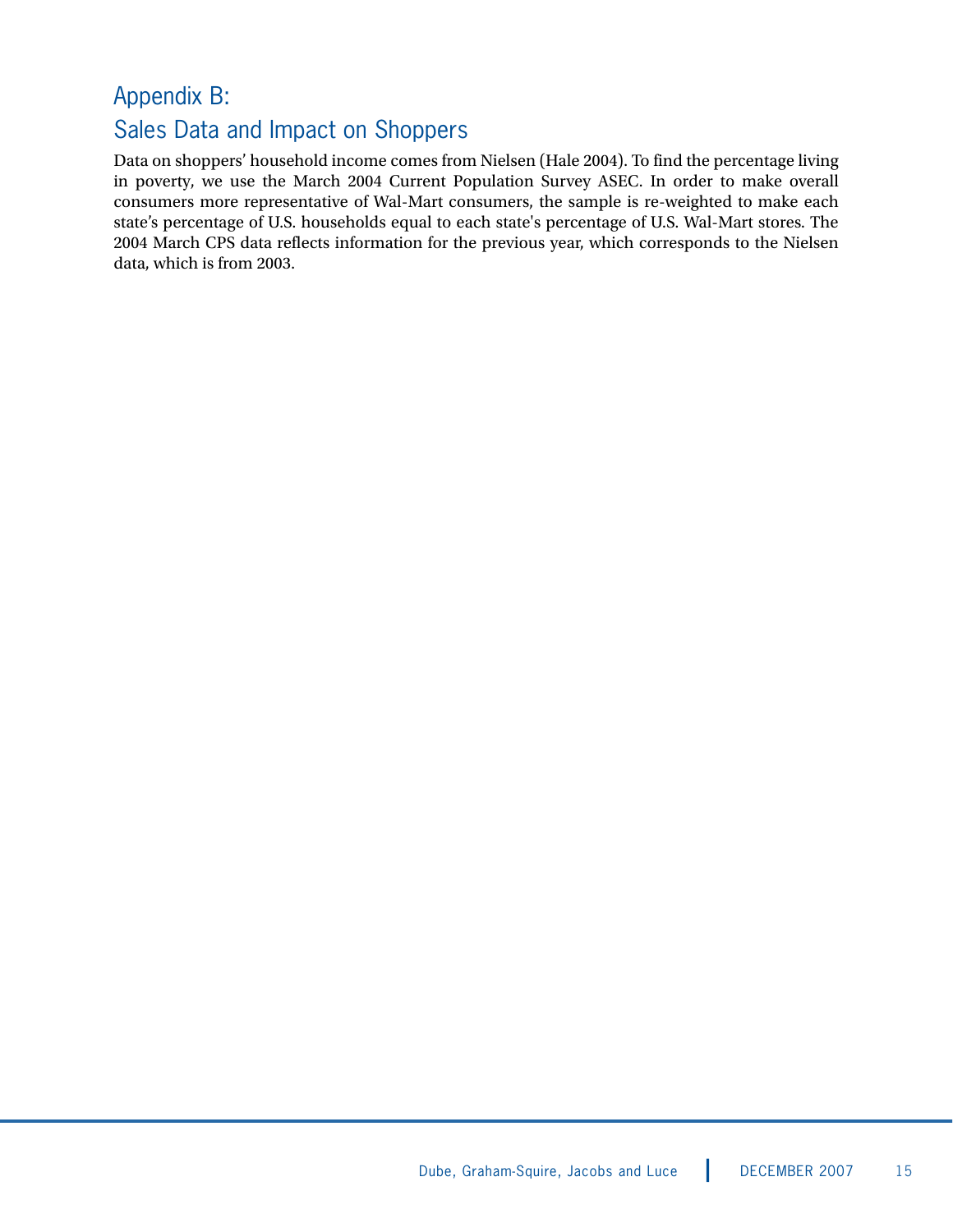## Appendix B: Sales Data and Impact on Shoppers

Data on shoppers' household income comes from Nielsen (Hale 2004). To find the percentage living in poverty, we use the March 2004 Current Population Survey ASEC. In order to make overall consumers more representative of Wal-Mart consumers, the sample is re-weighted to make each state's percentage of U.S. households equal to each state's percentage of U.S. Wal-Mart stores. The 2004 March CPS data reflects information for the previous year, which corresponds to the Nielsen data, which is from 2003.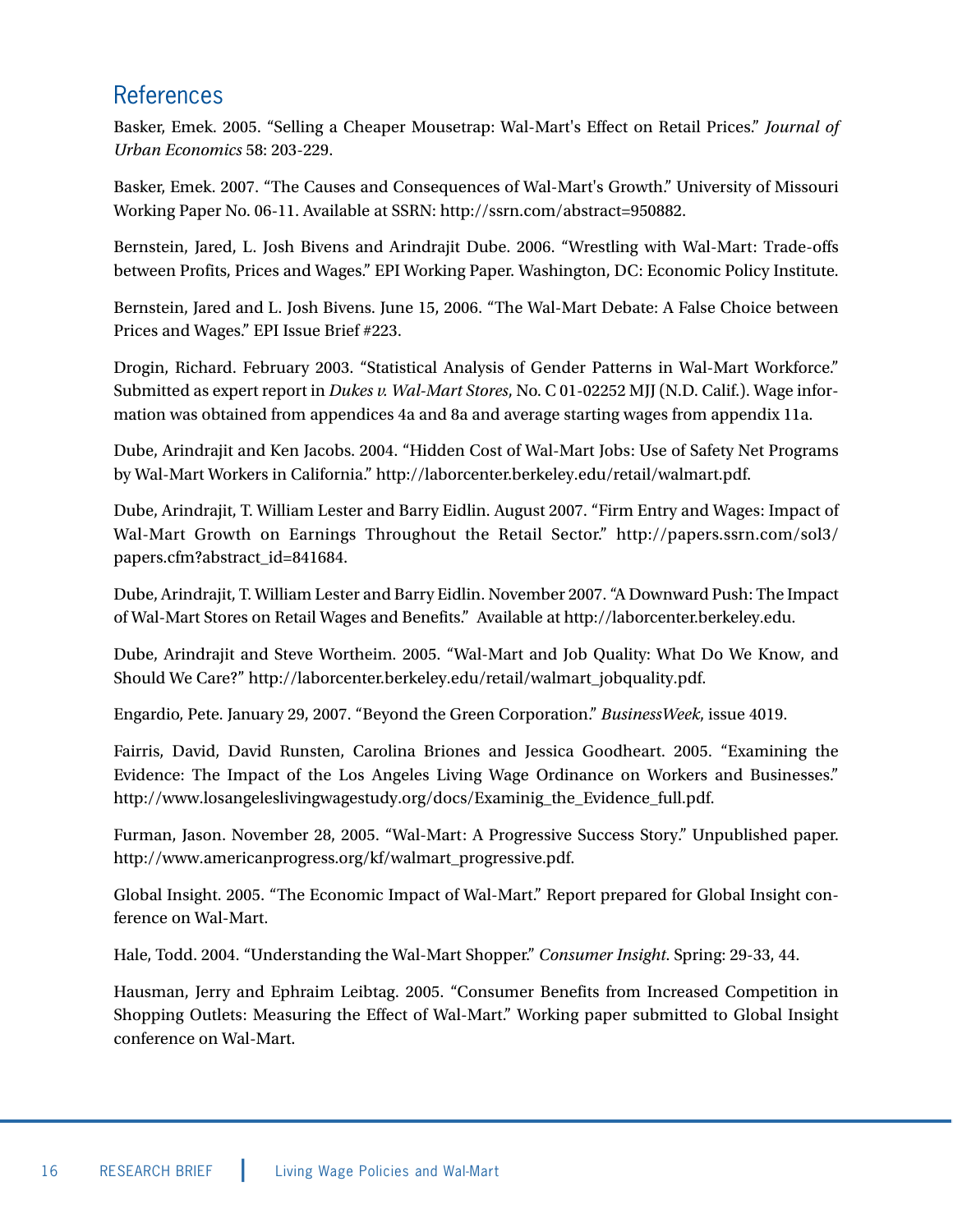## References

Basker, Emek. 2005. "Selling a Cheaper Mousetrap: Wal-Mart's Effect on Retail Prices." *Journal of Urban Economics* 58: 203-229.

Basker, Emek. 2007. "The Causes and Consequences of Wal-Mart's Growth." University of Missouri Working Paper No. 06-11. Available at SSRN: http://ssrn.com/abstract=950882.

Bernstein, Jared, L. Josh Bivens and Arindrajit Dube. 2006. "Wrestling with Wal-Mart: Trade-offs between Profits, Prices and Wages." EPI Working Paper. Washington, DC: Economic Policy Institute.

Bernstein, Jared and L. Josh Bivens. June 15, 2006. "The Wal-Mart Debate: A False Choice between Prices and Wages." EPI Issue Brief #223.

Drogin, Richard. February 2003. "Statistical Analysis of Gender Patterns in Wal-Mart Workforce." Submitted as expert report in *Dukes v. Wal-Mart Stores*, No. C 01-02252 MJJ (N.D. Calif.). Wage information was obtained from appendices 4a and 8a and average starting wages from appendix 11a.

Dube, Arindrajit and Ken Jacobs. 2004. "Hidden Cost of Wal-Mart Jobs: Use of Safety Net Programs by Wal-Mart Workers in California." http://laborcenter.berkeley.edu/retail/walmart.pdf.

Dube, Arindrajit, T. William Lester and Barry Eidlin. August 2007. "Firm Entry and Wages: Impact of Wal-Mart Growth on Earnings Throughout the Retail Sector." http://papers.ssrn.com/sol3/ papers.cfm?abstract\_id=841684.

Dube, Arindrajit, T. William Lester and Barry Eidlin. November 2007. "A Downward Push: The Impact of Wal-Mart Stores on Retail Wages and Benefits." Available at http://laborcenter.berkeley.edu.

Dube, Arindrajit and Steve Wortheim. 2005. "Wal-Mart and Job Quality: What Do We Know, and Should We Care?" http://laborcenter.berkeley.edu/retail/walmart\_jobquality.pdf.

Engardio, Pete. January 29, 2007. "Beyond the Green Corporation." *BusinessWeek*, issue 4019.

Fairris, David, David Runsten, Carolina Briones and Jessica Goodheart. 2005. "Examining the Evidence: The Impact of the Los Angeles Living Wage Ordinance on Workers and Businesses." http://www.losangeleslivingwagestudy.org/docs/Examinig\_the\_Evidence\_full.pdf.

Furman, Jason. November 28, 2005. "Wal-Mart: A Progressive Success Story." Unpublished paper. http://www.americanprogress.org/kf/walmart\_progressive.pdf.

Global Insight. 2005. "The Economic Impact of Wal-Mart." Report prepared for Global Insight conference on Wal-Mart.

Hale, Todd. 2004. "Understanding the Wal-Mart Shopper." *Consumer Insight*. Spring: 29-33, 44.

Hausman, Jerry and Ephraim Leibtag. 2005. "Consumer Benefits from Increased Competition in Shopping Outlets: Measuring the Effect of Wal-Mart." Working paper submitted to Global Insight conference on Wal-Mart.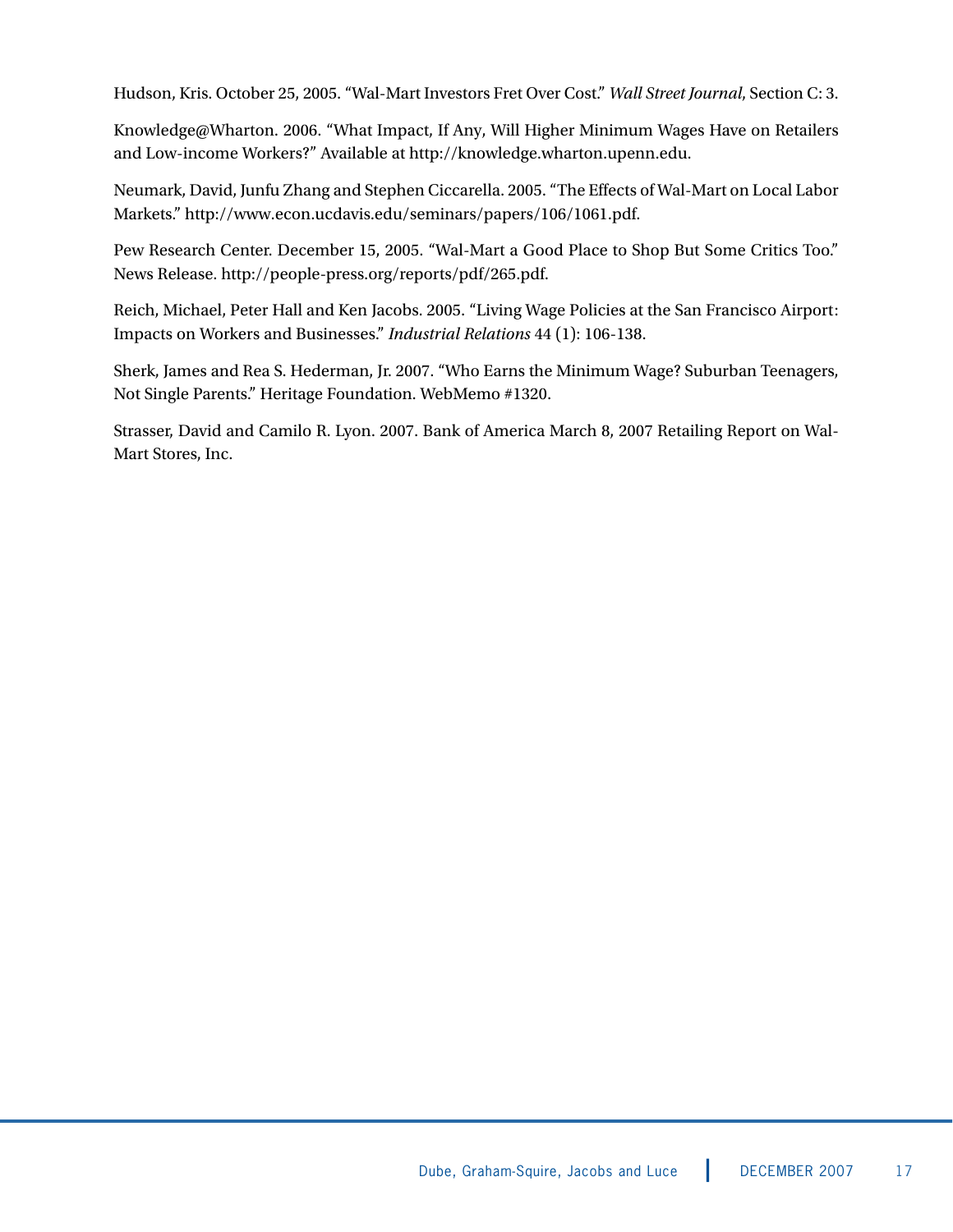Hudson, Kris. October 25, 2005. "Wal-Mart Investors Fret Over Cost." *Wall Street Journal*, Section C: 3.

Knowledge@Wharton. 2006. "What Impact, If Any, Will Higher Minimum Wages Have on Retailers and Low-income Workers?" Available at http://knowledge.wharton.upenn.edu.

Neumark, David, Junfu Zhang and Stephen Ciccarella. 2005. "The Effects of Wal-Mart on Local Labor Markets." http://www.econ.ucdavis.edu/seminars/papers/106/1061.pdf.

Pew Research Center. December 15, 2005. "Wal-Mart a Good Place to Shop But Some Critics Too." News Release. http://people-press.org/reports/pdf/265.pdf.

Reich, Michael, Peter Hall and Ken Jacobs. 2005. "Living Wage Policies at the San Francisco Airport: Impacts on Workers and Businesses." *Industrial Relations* 44 (1): 106-138.

Sherk, James and Rea S. Hederman, Jr. 2007. "Who Earns the Minimum Wage? Suburban Teenagers, Not Single Parents." Heritage Foundation. WebMemo #1320.

Strasser, David and Camilo R. Lyon. 2007. Bank of America March 8, 2007 Retailing Report on Wal-Mart Stores, Inc.